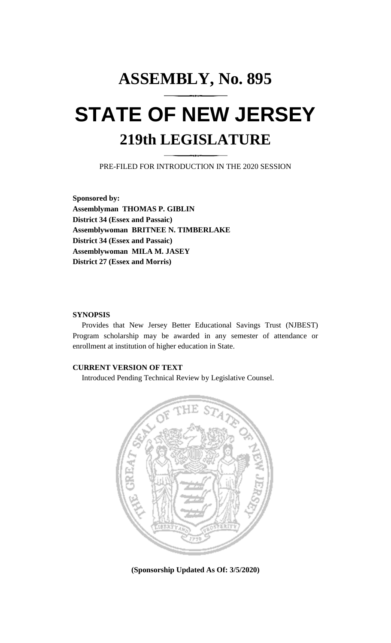# **ASSEMBLY, No. 895 STATE OF NEW JERSEY 219th LEGISLATURE**

PRE-FILED FOR INTRODUCTION IN THE 2020 SESSION

**Sponsored by: Assemblyman THOMAS P. GIBLIN District 34 (Essex and Passaic) Assemblywoman BRITNEE N. TIMBERLAKE District 34 (Essex and Passaic) Assemblywoman MILA M. JASEY District 27 (Essex and Morris)**

### **SYNOPSIS**

Provides that New Jersey Better Educational Savings Trust (NJBEST) Program scholarship may be awarded in any semester of attendance or enrollment at institution of higher education in State.

## **CURRENT VERSION OF TEXT**

Introduced Pending Technical Review by Legislative Counsel.



**(Sponsorship Updated As Of: 3/5/2020)**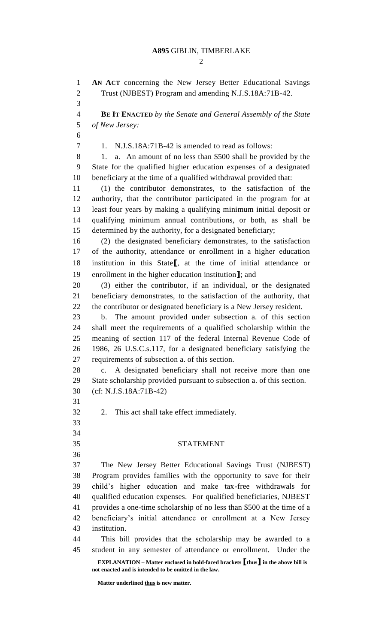### **A895** GIBLIN, TIMBERLAKE

 $\mathcal{D}_{\mathcal{L}}$ 

**EXPLANATION – Matter enclosed in bold-faced brackets [thus] in the above bill is not enacted and is intended to be omitted in the law. Matter underlined thus is new matter. AN ACT** concerning the New Jersey Better Educational Savings Trust (NJBEST) Program and amending N.J.S.18A:71B-42. **BE IT ENACTED** *by the Senate and General Assembly of the State of New Jersey:* 1. N.J.S.18A:71B-42 is amended to read as follows: 8 1. a. An amount of no less than \$500 shall be provided by the State for the qualified higher education expenses of a designated beneficiary at the time of a qualified withdrawal provided that: (1) the contributor demonstrates, to the satisfaction of the authority, that the contributor participated in the program for at least four years by making a qualifying minimum initial deposit or qualifying minimum annual contributions, or both, as shall be determined by the authority, for a designated beneficiary; (2) the designated beneficiary demonstrates, to the satisfaction of the authority, attendance or enrollment in a higher education institution in this State**[**, at the time of initial attendance or enrollment in the higher education institution**]**; and (3) either the contributor, if an individual, or the designated beneficiary demonstrates, to the satisfaction of the authority, that the contributor or designated beneficiary is a New Jersey resident. b. The amount provided under subsection a. of this section shall meet the requirements of a qualified scholarship within the meaning of section 117 of the federal Internal Revenue Code of 1986, 26 U.S.C.s.117, for a designated beneficiary satisfying the requirements of subsection a. of this section. c. A designated beneficiary shall not receive more than one State scholarship provided pursuant to subsection a. of this section. (cf: N.J.S.18A:71B-42) 2. This act shall take effect immediately. STATEMENT The New Jersey Better Educational Savings Trust (NJBEST) Program provides families with the opportunity to save for their child's higher education and make tax-free withdrawals for qualified education expenses. For qualified beneficiaries, NJBEST provides a one-time scholarship of no less than \$500 at the time of a beneficiary's initial attendance or enrollment at a New Jersey institution. This bill provides that the scholarship may be awarded to a student in any semester of attendance or enrollment. Under the